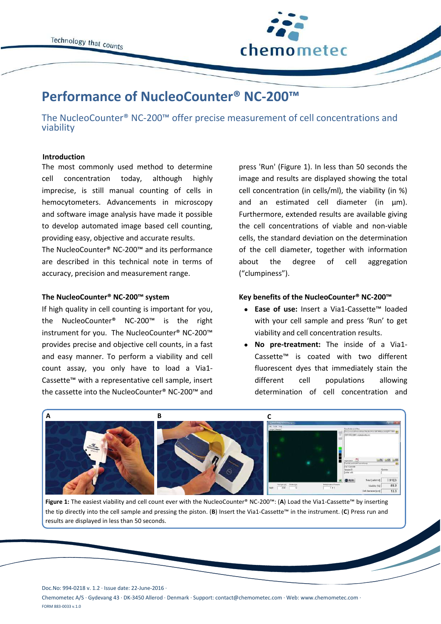

# **Performance of NucleoCounter® NC-200™**

The NucleoCounter® NC-200™ offer precise measurement of cell concentrations and viability

## **Introduction**

The most commonly used method to determine cell concentration today, although highly imprecise, is still manual counting of cells in hemocytometers. Advancements in microscopy and software image analysis have made it possible to develop automated image based cell counting, providing easy, objective and accurate results.

The NucleoCounter® NC-200™ and its performance are described in this technical note in terms of accuracy, precision and measurement range.

# **The NucleoCounter® NC-200™ system**

If high quality in cell counting is important for you, the NucleoCounter® NC-200™ is the right instrument for you. The NucleoCounter® NC-200™ provides precise and objective cell counts, in a fast and easy manner. To perform a viability and cell count assay, you only have to load a Via1- Cassette™ with a representative cell sample, insert the cassette into the NucleoCounter® NC-200™ and

press 'Run' (Figure 1). In less than 50 seconds the image and results are displayed showing the total cell concentration (in cells/ml), the viability (in %) and an estimated cell diameter (in  $\mu$ m). Furthermore, extended results are available giving the cell concentrations of viable and non-viable cells, the standard deviation on the determination of the cell diameter, together with information about the degree of cell aggregation ("clumpiness").

## **Key benefits of the NucleoCounter® NC-200™**

- **Ease of use:** Insert a Via1-Cassette™ loaded with your cell sample and press 'Run' to get viability and cell concentration results.
- **No pre-treatment:** The inside of a Via1- Cassette™ is coated with two different fluorescent dyes that immediately stain the different cell populations allowing determination of cell concentration and



**Figure 1:** The easiest viability and cell count ever with the NucleoCounter® NC-200™: (**A**) Load the Via1-Cassette™ by inserting the tip directly into the cell sample and pressing the piston. (**B**) Insert the Via1-Cassette™ in the instrument. (**C**) Press run and results are displayed in less than 50 seconds.

Doc.No: 994-0218 v. 1.2 · Issue date: 22-June-2016 ·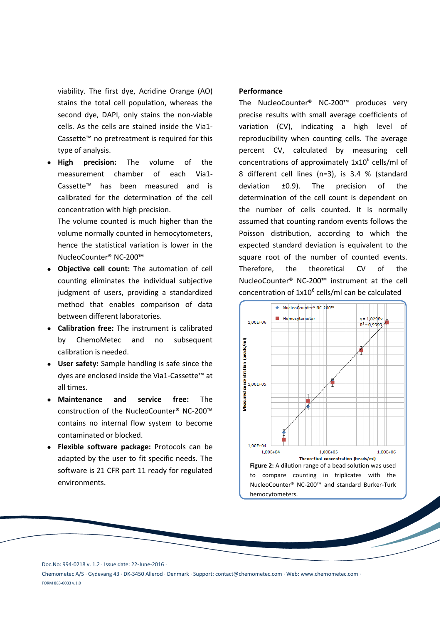viability. The first dye, Acridine Orange (AO) stains the total cell population, whereas the second dye, DAPI, only stains the non-viable cells. As the cells are stained inside the Via1- Cassette™ no pretreatment is required for this type of analysis.

 **High precision:** The volume of the measurement chamber of each Via1- Cassette™ has been measured and is calibrated for the determination of the cell concentration with high precision.

The volume counted is much higher than the volume normally counted in hemocytometers, hence the statistical variation is lower in the NucleoCounter® NC-200™

- **Objective cell count:** The automation of cell counting eliminates the individual subjective judgment of users, providing a standardized method that enables comparison of data between different laboratories.
- **Calibration free:** The instrument is calibrated by ChemoMetec and no subsequent calibration is needed.
- **User safety:** Sample handling is safe since the dyes are enclosed inside the Via1-Cassette™ at all times.
- **Maintenance and service free:** The construction of the NucleoCounter® NC-200™ contains no internal flow system to become contaminated or blocked.
- **Flexible software package:** Protocols can be adapted by the user to fit specific needs. The software is 21 CFR part 11 ready for regulated environments.

## **Performance**

The NucleoCounter® NC-200™ produces very precise results with small average coefficients of variation (CV), indicating a high level of reproducibility when counting cells. The average percent CV, calculated by measuring cell concentrations of approximately  $1x10^6$  cells/ml of 8 different cell lines (n=3), is 3.4 % (standard deviation ±0.9). The precision of the determination of the cell count is dependent on the number of cells counted. It is normally assumed that counting random events follows the Poisson distribution, according to which the expected standard deviation is equivalent to the square root of the number of counted events. Therefore, the theoretical CV of the NucleoCounter® NC-200™ instrument at the cell concentration of  $1x10^6$  cells/ml can be calculated



Doc.No: 994-0218 v. 1.2 · Issue date: 22-June-2016 ·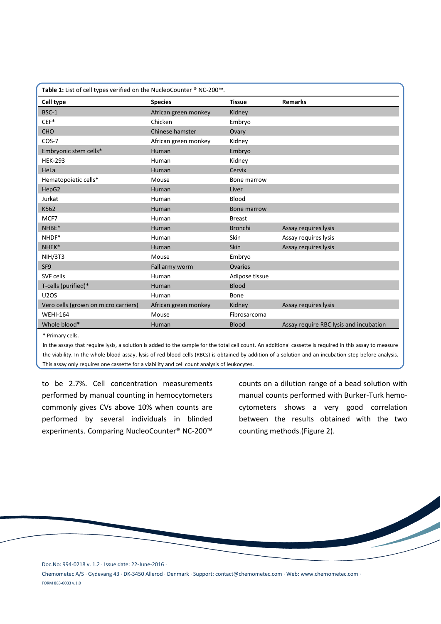| Table 1: List of cell types verified on the NucleoCounter ® NC-200™. |                      |                |                                        |
|----------------------------------------------------------------------|----------------------|----------------|----------------------------------------|
| Cell type                                                            | <b>Species</b>       | <b>Tissue</b>  | <b>Remarks</b>                         |
| BSC-1                                                                | African green monkey | Kidney         |                                        |
| $CEF*$                                                               | Chicken              | Embryo         |                                        |
| CHO                                                                  | Chinese hamster      | Ovary          |                                        |
| $COS-7$                                                              | African green monkey | Kidney         |                                        |
| Embryonic stem cells*                                                | Human                | Embryo         |                                        |
| <b>HEK-293</b>                                                       | Human                | Kidney         |                                        |
| HeLa                                                                 | Human                | Cervix         |                                        |
| Hematopoietic cells*                                                 | Mouse                | Bone marrow    |                                        |
| HepG2                                                                | Human                | Liver          |                                        |
| Jurkat                                                               | Human                | Blood          |                                        |
| K562                                                                 | Human                | Bone marrow    |                                        |
| MCF7                                                                 | Human                | <b>Breast</b>  |                                        |
| NHBE*                                                                | Human                | <b>Bronchi</b> | Assay requires lysis                   |
| NHDF*                                                                | Human                | <b>Skin</b>    | Assay requires lysis                   |
| NHEK*                                                                | Human                | Skin           | Assay requires lysis                   |
| <b>NIH/3T3</b>                                                       | Mouse                | Embryo         |                                        |
| SF <sub>9</sub>                                                      | Fall army worm       | Ovaries        |                                        |
| SVF cells                                                            | Human                | Adipose tissue |                                        |
| T-cells (purified)*                                                  | Human                | <b>Blood</b>   |                                        |
| <b>U2OS</b>                                                          | Human                | Bone           |                                        |
| Vero cells (grown on micro carriers)                                 | African green monkey | Kidney         | Assay requires lysis                   |
| <b>WEHI-164</b>                                                      | Mouse                | Fibrosarcoma   |                                        |
| Whole blood*                                                         | Human                | <b>Blood</b>   | Assay require RBC lysis and incubation |
| $\sim -1$                                                            |                      |                |                                        |

\* Primary cells.

In the assays that require lysis, a solution is added to the sample for the total cell count. An additional cassette is required in this assay to measure the viability. In the whole blood assay, lysis of red blood cells (RBCs) is obtained by addition of a solution and an incubation step before analysis. This assay only requires one cassette for a viability and cell count analysis of leukocytes.

to be 2.7%. Cell concentration measurements performed by manual counting in hemocytometers commonly gives CVs above 10% when counts are performed by several individuals in blinded experiments. Comparing NucleoCounter® NC-200™

counts on a dilution range of a bead solution with manual counts performed with Burker-Turk hemocytometers shows a very good correlation between the results obtained with the two counting methods.(Figure 2).

Doc.No: 994-0218 v. 1.2 · Issue date: 22-June-2016 ·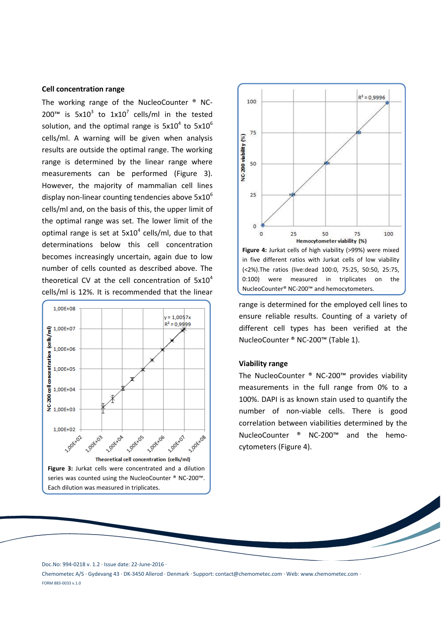# **Cell concentration range**

The working range of the NucleoCounter ® NC-200<sup>™</sup> is 5x10<sup>3</sup> to 1x10<sup>7</sup> cells/ml in the tested solution, and the optimal range is  $5x10^4$  to  $5x10^6$ cells/ml. A warning will be given when analysis results are outside the optimal range. The working range is determined by the linear range where measurements can be performed (Figure 3). However, the majority of mammalian cell lines display non-linear counting tendencies above  $5x10^6$ cells/ml and, on the basis of this, the upper limit of the optimal range was set. The lower limit of the optimal range is set at  $5x10^4$  cells/ml, due to that determinations below this cell concentration becomes increasingly uncertain, again due to low number of cells counted as described above. The theoretical CV at the cell concentration of  $5x10^4$ cells/ml is 12%. It is recommended that the linear





range is determined for the employed cell lines to ensure reliable results. Counting of a variety of different cell types has been verified at the NucleoCounter ® NC-200™ (Table 1).

## **Viability range**

The NucleoCounter ® NC-200™ provides viability measurements in the full range from 0% to a 100%. DAPI is as known stain used to quantify the number of non-viable cells. There is good correlation between viabilities determined by the NucleoCounter ® NC-200™ and the hemocytometers (Figure 4).

Doc.No: 994-0218 v. 1.2 · Issue date: 22-June-2016 ·